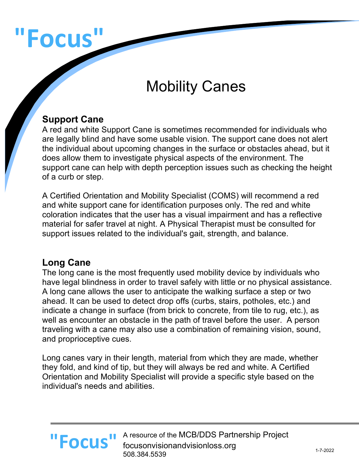# **"Focus"**

# Mobility Canes

#### **Support Cane**

A red and white Support Cane is sometimes recommended for individuals who are legally blind and have some usable vision. The support cane does not alert the individual about upcoming changes in the surface or obstacles ahead, but it does allow them to investigate physical aspects of the environment. The support cane can help with depth perception issues such as checking the height of a curb or step.

A Certified Orientation and Mobility Specialist (COMS) will recommend a red and white support cane for identification purposes only. The red and white coloration indicates that the user has a visual impairment and has a reflective material for safer travel at night. A Physical Therapist must be consulted for support issues related to the individual's gait, strength, and balance.

#### **Long Cane**

The long cane is the most frequently used mobility device by individuals who have legal blindness in order to travel safely with little or no physical assistance. A long cane allows the user to anticipate the walking surface a step or two ahead. It can be used to detect drop offs (curbs, stairs, potholes, etc.) and indicate a change in surface (from brick to concrete, from tile to rug, etc.), as well as encounter an obstacle in the path of travel before the user. A person traveling with a cane may also use a combination of remaining vision, sound, and proprioceptive cues.

Long canes vary in their length, material from which they are made, whether they fold, and kind of tip, but they will always be red and white. A Certified Orientation and Mobility Specialist will provide a specific style based on the individual's needs and abilities.

#### A resource of the MCB/DDS Partnership Project **"Focus "** A resource of the MCB/DDS Partn focusonvisionandvisionloss.org 508.384.5539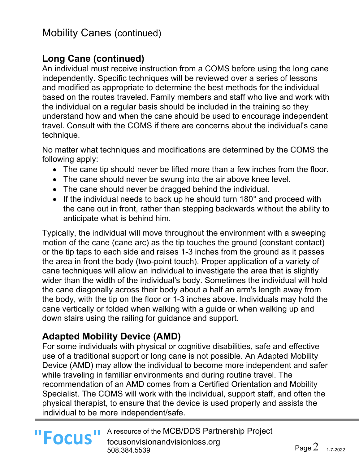# Mobility Canes (continued)

#### **Long Cane (continued)**

An individual must receive instruction from a COMS before using the long cane independently. Specific techniques will be reviewed over a series of lessons and modified as appropriate to determine the best methods for the individual based on the routes traveled. Family members and staff who live and work with the individual on a regular basis should be included in the training so they understand how and when the cane should be used to encourage independent travel. Consult with the COMS if there are concerns about the individual's cane technique.

No matter what techniques and modifications are determined by the COMS the following apply:

- The cane tip should never be lifted more than a few inches from the floor.
- The cane should never be swung into the air above knee level.
- The cane should never be dragged behind the individual.
- If the individual needs to back up he should turn 180° and proceed with the cane out in front, rather than stepping backwards without the ability to anticipate what is behind him.

Typically, the individual will move throughout the environment with a sweeping motion of the cane (cane arc) as the tip touches the ground (constant contact) or the tip taps to each side and raises 1-3 inches from the ground as it passes the area in front the body (two-point touch). Proper application of a variety of cane techniques will allow an individual to investigate the area that is slightly wider than the width of the individual's body. Sometimes the individual will hold the cane diagonally across their body about a half an arm's length away from the body, with the tip on the floor or 1-3 inches above. Individuals may hold the cane vertically or folded when walking with a guide or when walking up and down stairs using the railing for guidance and support.

#### **Adapted Mobility Device (AMD)**

For some individuals with physical or cognitive disabilities, safe and effective use of a traditional support or long cane is not possible. An Adapted Mobility Device (AMD) may allow the individual to become more independent and safer while traveling in familiar environments and during routine travel. The recommendation of an AMD comes from a Certified Orientation and Mobility Specialist. The COMS will work with the individual, support staff, and often the physical therapist, to ensure that the device is used properly and assists the individual to be more independent/safe.

A resource of the MCB/DDS Partnership Project **"Focus "** A resource of the MCB/DDS Partn focusonvisionandvisionloss.org 508.384.5539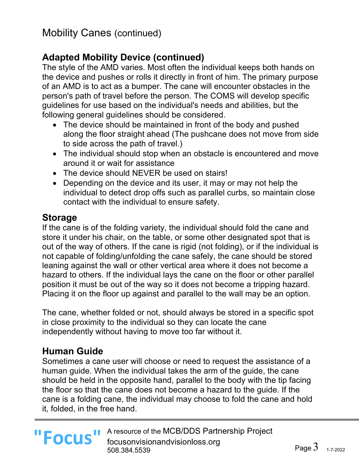# **Adapted Mobility Device (continued)**

The style of the AMD varies. Most often the individual keeps both hands on the device and pushes or rolls it directly in front of him. The primary purpose of an AMD is to act as a bumper. The cane will encounter obstacles in the person's path of travel before the person. The COMS will develop specific guidelines for use based on the individual's needs and abilities, but the following general guidelines should be considered.

- The device should be maintained in front of the body and pushed along the floor straight ahead (The pushcane does not move from side to side across the path of travel.)
- The individual should stop when an obstacle is encountered and move around it or wait for assistance
- The device should NEVER be used on stairs!
- Depending on the device and its user, it may or may not help the individual to detect drop offs such as parallel curbs, so maintain close contact with the individual to ensure safety.

#### **Storage**

If the cane is of the folding variety, the individual should fold the cane and store it under his chair, on the table, or some other designated spot that is out of the way of others. If the cane is rigid (not folding), or if the individual is not capable of folding/unfolding the cane safely, the cane should be stored leaning against the wall or other vertical area where it does not become a hazard to others. If the individual lays the cane on the floor or other parallel position it must be out of the way so it does not become a tripping hazard. Placing it on the floor up against and parallel to the wall may be an option.

The cane, whether folded or not, should always be stored in a specific spot in close proximity to the individual so they can locate the cane independently without having to move too far without it.

# **Human Guide**

Sometimes a cane user will choose or need to request the assistance of a human guide. When the individual takes the arm of the guide, the cane should be held in the opposite hand, parallel to the body with the tip facing the floor so that the cane does not become a hazard to the guide. If the cane is a folding cane, the individual may choose to fold the cane and hold it, folded, in the free hand.

**"Focus"**

A resource of the MCB/DDS Partnership Project focusonvisionandvisionloss.org 508.384.5539